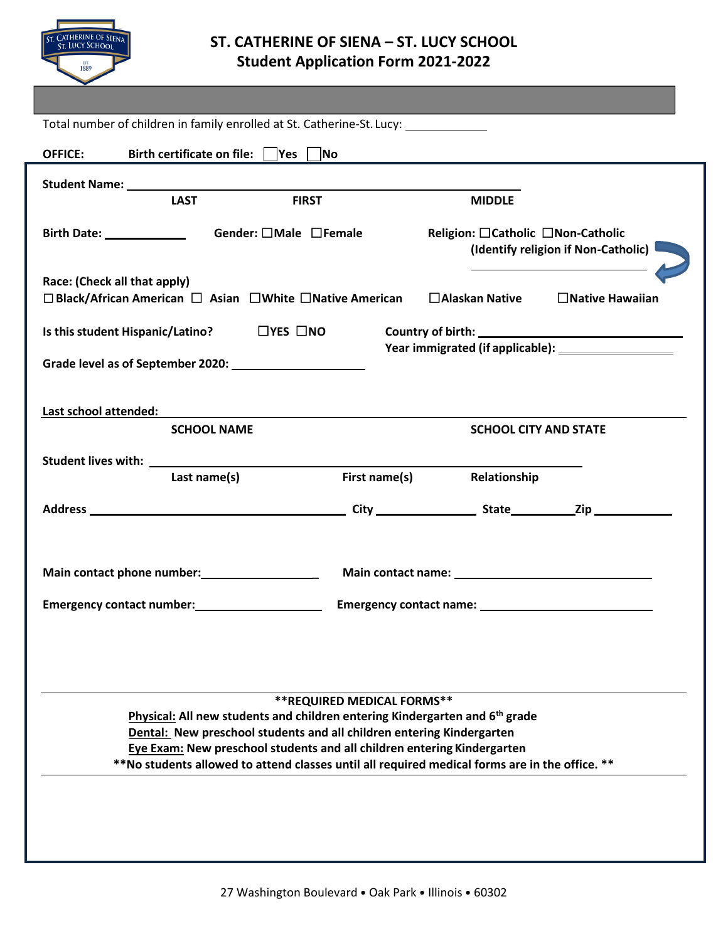

## **ST. CATHERINE OF SIENA – ST. LUCY SCHOOL Student Application Form 2021-2022**

| Total number of children in family enrolled at St. Catherine-St. Lucy: __________                                                                                |               |                                                                            |                                                        |  |  |
|------------------------------------------------------------------------------------------------------------------------------------------------------------------|---------------|----------------------------------------------------------------------------|--------------------------------------------------------|--|--|
| Birth certificate on file: $\vert$  Yes    No<br><b>OFFICE:</b>                                                                                                  |               |                                                                            |                                                        |  |  |
|                                                                                                                                                                  |               |                                                                            |                                                        |  |  |
| <b>LAST</b>                                                                                                                                                      | <b>FIRST</b>  | <b>MIDDLE</b>                                                              |                                                        |  |  |
| Gender: □Male □Female                                                                                                                                            |               | Religion: □ Catholic □ Non-Catholic<br>(Identify religion if Non-Catholic) |                                                        |  |  |
| Race: (Check all that apply)<br>$\Box$ Black/African American $\Box$ Asian $\Box$ White $\Box$ Native American                                                   |               | $\Box$ Alaskan Native                                                      | $\Box$ Native Hawaiian                                 |  |  |
| $\Box$ YES $\Box$ NO<br>Is this student Hispanic/Latino?                                                                                                         |               |                                                                            |                                                        |  |  |
|                                                                                                                                                                  |               |                                                                            | Year immigrated (if applicable): _____________________ |  |  |
|                                                                                                                                                                  |               |                                                                            |                                                        |  |  |
| Last school attended:                                                                                                                                            |               |                                                                            |                                                        |  |  |
| <b>SCHOOL NAME</b>                                                                                                                                               |               | <b>SCHOOL CITY AND STATE</b>                                               |                                                        |  |  |
|                                                                                                                                                                  |               |                                                                            |                                                        |  |  |
| Last name(s)                                                                                                                                                     | First name(s) | Relationship                                                               |                                                        |  |  |
|                                                                                                                                                                  |               |                                                                            |                                                        |  |  |
| Main contact phone number:<br><u> </u>                                                                                                                           |               |                                                                            |                                                        |  |  |
| Emergency contact number:<br><u>Emergency contact number:</u>                                                                                                    |               |                                                                            |                                                        |  |  |
|                                                                                                                                                                  |               |                                                                            |                                                        |  |  |
| <b>**REQUIRED MEDICAL FORMS**</b>                                                                                                                                |               |                                                                            |                                                        |  |  |
| Physical: All new students and children entering Kindergarten and 6 <sup>th</sup> grade<br>Dental: New preschool students and all children entering Kindergarten |               |                                                                            |                                                        |  |  |
| Eye Exam: New preschool students and all children entering Kindergarten                                                                                          |               |                                                                            |                                                        |  |  |
| **No students allowed to attend classes until all required medical forms are in the office. **                                                                   |               |                                                                            |                                                        |  |  |
|                                                                                                                                                                  |               |                                                                            |                                                        |  |  |
|                                                                                                                                                                  |               |                                                                            |                                                        |  |  |
|                                                                                                                                                                  |               |                                                                            |                                                        |  |  |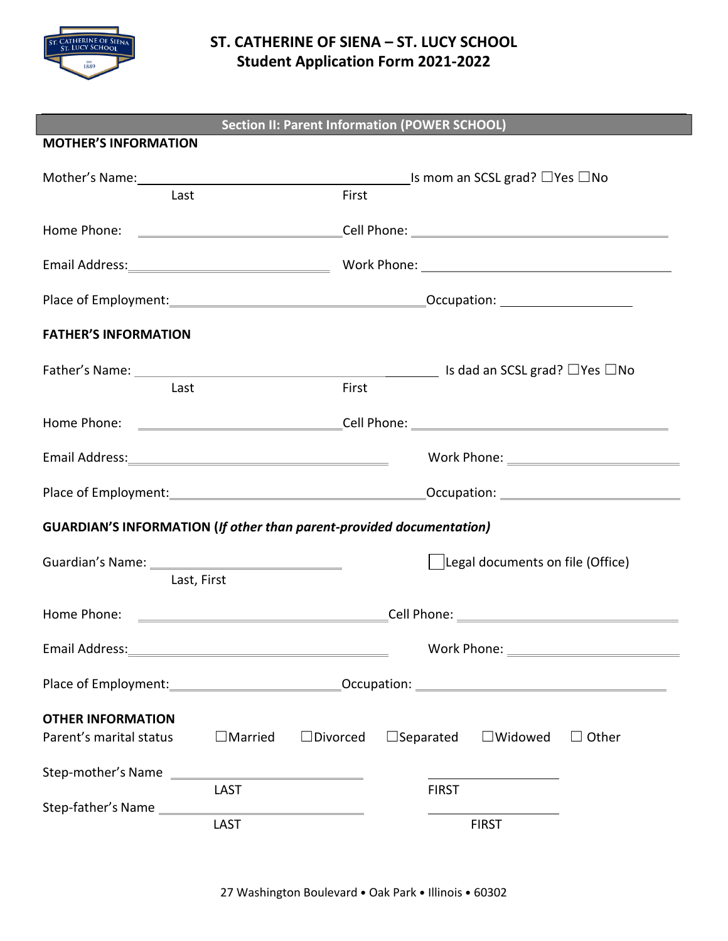

## **ST. CATHERINE OF SIENA – ST. LUCY SCHOOL Student Application Form 2021-2022**

| <b>Section II: Parent Information (POWER SCHOOL)</b>                        |                |                 |                                       |                                  |              |
|-----------------------------------------------------------------------------|----------------|-----------------|---------------------------------------|----------------------------------|--------------|
| <b>MOTHER'S INFORMATION</b>                                                 |                |                 |                                       |                                  |              |
| Mother's Name: Name and South Allen Mother's Name:                          |                |                 | <b>_Is mom an SCSL grad?</b> □Yes □No |                                  |              |
| Last                                                                        |                | First           |                                       |                                  |              |
|                                                                             |                |                 |                                       |                                  |              |
|                                                                             |                |                 |                                       |                                  |              |
|                                                                             |                |                 |                                       |                                  |              |
| <b>FATHER'S INFORMATION</b>                                                 |                |                 |                                       |                                  |              |
|                                                                             |                |                 |                                       |                                  |              |
| Last                                                                        |                | First           |                                       |                                  |              |
|                                                                             |                |                 |                                       |                                  |              |
|                                                                             |                |                 |                                       |                                  |              |
|                                                                             |                |                 |                                       |                                  |              |
| <b>GUARDIAN'S INFORMATION (If other than parent-provided documentation)</b> |                |                 |                                       |                                  |              |
|                                                                             |                |                 |                                       | Legal documents on file (Office) |              |
| Last, First                                                                 |                |                 |                                       |                                  |              |
|                                                                             |                |                 |                                       |                                  |              |
| Email Address:                                                              |                |                 | Work Phone:                           |                                  |              |
|                                                                             |                |                 |                                       |                                  |              |
| <b>OTHER INFORMATION</b>                                                    |                |                 |                                       |                                  |              |
| Parent's marital status                                                     | $\Box$ Married | $\Box$ Divorced | $\Box$ Separated                      | $\square$ Widowed                | $\Box$ Other |
| Step-mother's Name                                                          |                |                 |                                       |                                  |              |
| Step-father's Name                                                          | LAST           |                 | <b>FIRST</b>                          |                                  |              |
|                                                                             | LAST           |                 |                                       | <b>FIRST</b>                     |              |